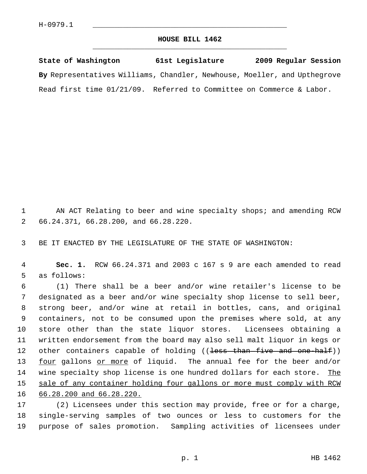## **HOUSE BILL 1462** \_\_\_\_\_\_\_\_\_\_\_\_\_\_\_\_\_\_\_\_\_\_\_\_\_\_\_\_\_\_\_\_\_\_\_\_\_\_\_\_\_\_\_\_\_

**State of Washington 61st Legislature 2009 Regular Session By** Representatives Williams, Chandler, Newhouse, Moeller, and Upthegrove Read first time 01/21/09. Referred to Committee on Commerce & Labor.

1 AN ACT Relating to beer and wine specialty shops; and amending RCW 2 66.24.371, 66.28.200, and 66.28.220.

3 BE IT ENACTED BY THE LEGISLATURE OF THE STATE OF WASHINGTON:

 4 **Sec. 1.** RCW 66.24.371 and 2003 c 167 s 9 are each amended to read 5 as follows:

 6 (1) There shall be a beer and/or wine retailer's license to be 7 designated as a beer and/or wine specialty shop license to sell beer, 8 strong beer, and/or wine at retail in bottles, cans, and original 9 containers, not to be consumed upon the premises where sold, at any 10 store other than the state liquor stores. Licensees obtaining a 11 written endorsement from the board may also sell malt liquor in kegs or 12 other containers capable of holding ((<del>less than five and one-half</del>)) 13 four gallons or more of liquid. The annual fee for the beer and/or 14 wine specialty shop license is one hundred dollars for each store. The 15 sale of any container holding four gallons or more must comply with RCW 16 66.28.200 and 66.28.220.

17 (2) Licensees under this section may provide, free or for a charge, 18 single-serving samples of two ounces or less to customers for the 19 purpose of sales promotion. Sampling activities of licensees under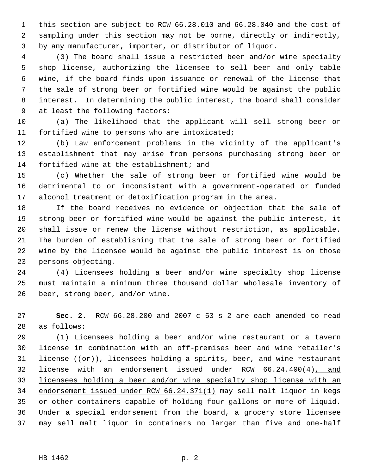1 this section are subject to RCW 66.28.010 and 66.28.040 and the cost of 2 sampling under this section may not be borne, directly or indirectly, 3 by any manufacturer, importer, or distributor of liquor.

 4 (3) The board shall issue a restricted beer and/or wine specialty 5 shop license, authorizing the licensee to sell beer and only table 6 wine, if the board finds upon issuance or renewal of the license that 7 the sale of strong beer or fortified wine would be against the public 8 interest. In determining the public interest, the board shall consider 9 at least the following factors:

10 (a) The likelihood that the applicant will sell strong beer or 11 fortified wine to persons who are intoxicated;

12 (b) Law enforcement problems in the vicinity of the applicant's 13 establishment that may arise from persons purchasing strong beer or 14 fortified wine at the establishment; and

15 (c) Whether the sale of strong beer or fortified wine would be 16 detrimental to or inconsistent with a government-operated or funded 17 alcohol treatment or detoxification program in the area.

18 If the board receives no evidence or objection that the sale of 19 strong beer or fortified wine would be against the public interest, it 20 shall issue or renew the license without restriction, as applicable. 21 The burden of establishing that the sale of strong beer or fortified 22 wine by the licensee would be against the public interest is on those 23 persons objecting.

24 (4) Licensees holding a beer and/or wine specialty shop license 25 must maintain a minimum three thousand dollar wholesale inventory of 26 beer, strong beer, and/or wine.

27 **Sec. 2.** RCW 66.28.200 and 2007 c 53 s 2 are each amended to read 28 as follows:

29 (1) Licensees holding a beer and/or wine restaurant or a tavern 30 license in combination with an off-premises beer and wine retailer's 31 license  $((\theta \cdot \mathbf{r}))$ , licensees holding a spirits, beer, and wine restaurant 32 license with an endorsement issued under RCW 66.24.400(4), and 33 licensees holding a beer and/or wine specialty shop license with an 34 endorsement issued under RCW 66.24.371(1) may sell malt liquor in kegs 35 or other containers capable of holding four gallons or more of liquid. 36 Under a special endorsement from the board, a grocery store licensee 37 may sell malt liquor in containers no larger than five and one-half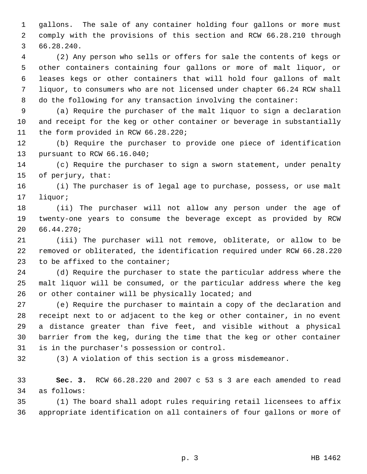1 gallons. The sale of any container holding four gallons or more must 2 comply with the provisions of this section and RCW 66.28.210 through 3 66.28.240.

 4 (2) Any person who sells or offers for sale the contents of kegs or 5 other containers containing four gallons or more of malt liquor, or 6 leases kegs or other containers that will hold four gallons of malt 7 liquor, to consumers who are not licensed under chapter 66.24 RCW shall 8 do the following for any transaction involving the container:

 9 (a) Require the purchaser of the malt liquor to sign a declaration 10 and receipt for the keg or other container or beverage in substantially 11 the form provided in RCW 66.28.220;

12 (b) Require the purchaser to provide one piece of identification 13 pursuant to RCW 66.16.040;

14 (c) Require the purchaser to sign a sworn statement, under penalty 15 of perjury, that:

16 (i) The purchaser is of legal age to purchase, possess, or use malt 17 liquor;

18 (ii) The purchaser will not allow any person under the age of 19 twenty-one years to consume the beverage except as provided by RCW 20 66.44.270;

21 (iii) The purchaser will not remove, obliterate, or allow to be 22 removed or obliterated, the identification required under RCW 66.28.220 23 to be affixed to the container;

24 (d) Require the purchaser to state the particular address where the 25 malt liquor will be consumed, or the particular address where the keg 26 or other container will be physically located; and

27 (e) Require the purchaser to maintain a copy of the declaration and 28 receipt next to or adjacent to the keg or other container, in no event 29 a distance greater than five feet, and visible without a physical 30 barrier from the keg, during the time that the keg or other container 31 is in the purchaser's possession or control.

32 (3) A violation of this section is a gross misdemeanor.

33 **Sec. 3.** RCW 66.28.220 and 2007 c 53 s 3 are each amended to read 34 as follows:

35 (1) The board shall adopt rules requiring retail licensees to affix 36 appropriate identification on all containers of four gallons or more of